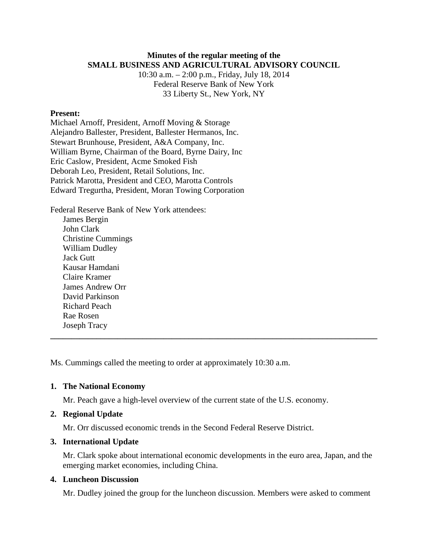# **Minutes of the regular meeting of the SMALL BUSINESS AND AGRICULTURAL ADVISORY COUNCIL**

10:30 a.m. – 2:00 p.m., Friday, July 18, 2014 Federal Reserve Bank of New York 33 Liberty St., New York, NY

## **Present:**

Michael Arnoff, President, Arnoff Moving & Storage Alejandro Ballester, President, Ballester Hermanos, Inc. Stewart Brunhouse, President, A&A Company, Inc. William Byrne, Chairman of the Board, Byrne Dairy, Inc Eric Caslow, President, Acme Smoked Fish Deborah Leo, President, Retail Solutions, Inc. Patrick Marotta, President and CEO, Marotta Controls Edward Tregurtha, President, Moran Towing Corporation

Federal Reserve Bank of New York attendees: James Bergin John Clark Christine Cummings William Dudley Jack Gutt Kausar Hamdani Claire Kramer James Andrew Orr David Parkinson Richard Peach Rae Rosen Joseph Tracy

Ms. Cummings called the meeting to order at approximately 10:30 a.m.

### **1. The National Economy**

Mr. Peach gave a high-level overview of the current state of the U.S. economy.

## **2. Regional Update**

Mr. Orr discussed economic trends in the Second Federal Reserve District.

## **3. International Update**

Mr. Clark spoke about international economic developments in the euro area, Japan, and the emerging market economies, including China.

**\_\_\_\_\_\_\_\_\_\_\_\_\_\_\_\_\_\_\_\_\_\_\_\_\_\_\_\_\_\_\_\_\_\_\_\_\_\_\_\_\_\_\_\_\_\_\_\_\_\_\_\_\_\_\_\_\_\_\_\_\_\_\_\_\_\_\_\_\_\_\_\_\_\_\_\_\_\_**

#### **4. Luncheon Discussion**

Mr. Dudley joined the group for the luncheon discussion. Members were asked to comment